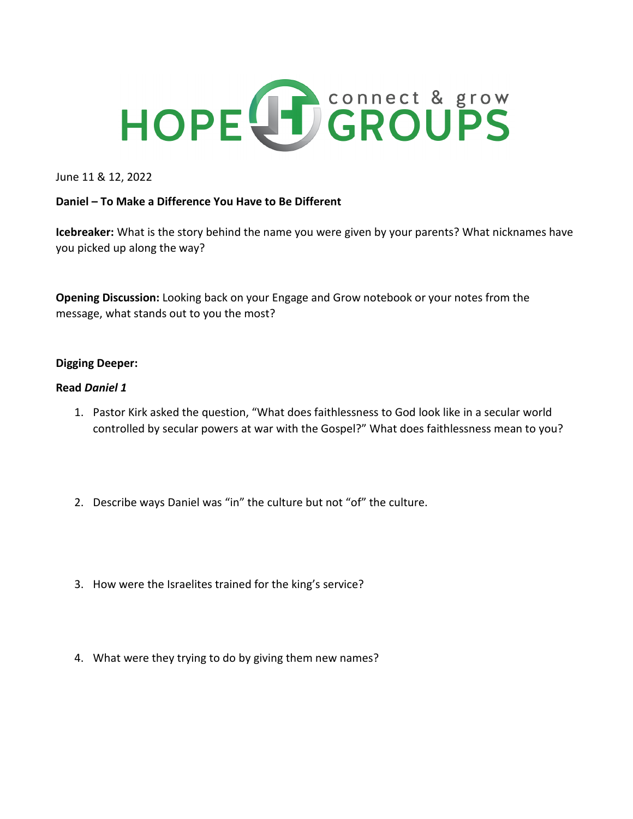

June 11 & 12, 2022

## **Daniel – To Make a Difference You Have to Be Different**

**Icebreaker:** What is the story behind the name you were given by your parents? What nicknames have you picked up along the way?

**Opening Discussion:** Looking back on your Engage and Grow notebook or your notes from the message, what stands out to you the most?

## **Digging Deeper:**

## **Read** *Daniel 1*

- 1. Pastor Kirk asked the question, "What does faithlessness to God look like in a secular world controlled by secular powers at war with the Gospel?" What does faithlessness mean to you?
- 2. Describe ways Daniel was "in" the culture but not "of" the culture.
- 3. How were the Israelites trained for the king's service?
- 4. What were they trying to do by giving them new names?